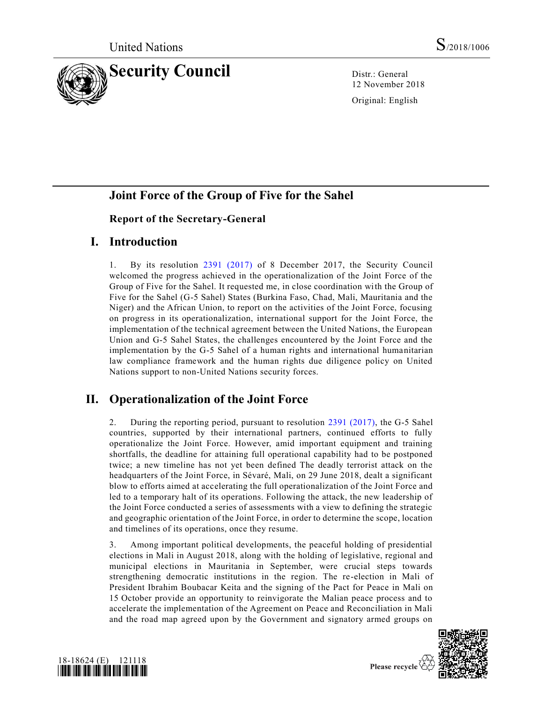

12 November 2018

Original: English

## **Joint Force of the Group of Five for the Sahel**

## **Report of the Secretary-General**

## **I. Introduction**

1. By its resolution [2391 \(2017\)](https://undocs.org/S/RES/2391(2017)) of 8 December 2017, the Security Council welcomed the progress achieved in the operationalization of the Joint Force of the Group of Five for the Sahel. It requested me, in close coordination with the Group of Five for the Sahel (G-5 Sahel) States (Burkina Faso, Chad, Mali, Mauritania and the Niger) and the African Union, to report on the activities of the Joint Force, focusing on progress in its operationalization, international support for the Joint Force, the implementation of the technical agreement between the United Nations, the European Union and G-5 Sahel States, the challenges encountered by the Joint Force and the implementation by the G-5 Sahel of a human rights and international humanitarian law compliance framework and the human rights due diligence policy on United Nations support to non-United Nations security forces.

# **II. Operationalization of the Joint Force**

2. During the reporting period, pursuant to resolution [2391 \(2017\),](https://undocs.org/S/RES/2391(2017)) the G-5 Sahel countries, supported by their international partners, continued efforts to fully operationalize the Joint Force. However, amid important equipment and training shortfalls, the deadline for attaining full operational capability had to be postponed twice; a new timeline has not yet been defined The deadly terrorist attack on the headquarters of the Joint Force, in Sévaré, Mali, on 29 June 2018, dealt a significant blow to efforts aimed at accelerating the full operationalization of the Joint Force and led to a temporary halt of its operations. Following the attack, the new leadership of the Joint Force conducted a series of assessments with a view to defining the strategic and geographic orientation of the Joint Force, in order to determine the scope, location and timelines of its operations, once they resume.

3. Among important political developments, the peaceful holding of presidential elections in Mali in August 2018, along with the holding of legislative, regional and municipal elections in Mauritania in September, were crucial steps towards strengthening democratic institutions in the region. The re-election in Mali of President Ibrahim Boubacar Keita and the signing of the Pact for Peace in Mali on 15 October provide an opportunity to reinvigorate the Malian peace process and to accelerate the implementation of the Agreement on Peace and Reconciliation in Mali and the road map agreed upon by the Government and signatory armed groups on



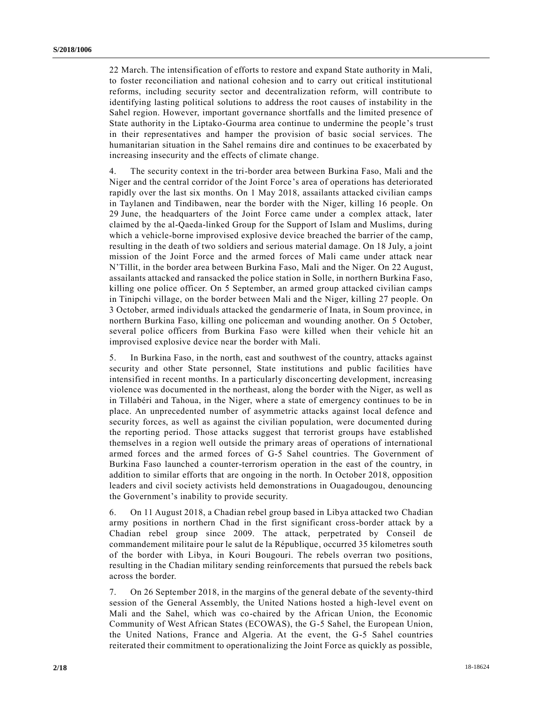22 March. The intensification of efforts to restore and expand State authority in Mali, to foster reconciliation and national cohesion and to carry out critical institutional reforms, including security sector and decentralization reform, will contribute to identifying lasting political solutions to address the root causes of instability in the Sahel region. However, important governance shortfalls and the limited presence of State authority in the Liptako-Gourma area continue to undermine the people's trust in their representatives and hamper the provision of basic social services. The humanitarian situation in the Sahel remains dire and continues to be exacerbated by increasing insecurity and the effects of climate change.

4. The security context in the tri-border area between Burkina Faso, Mali and the Niger and the central corridor of the Joint Force's area of operations has deteriorated rapidly over the last six months. On 1 May 2018, assailants attacked civilian camps in Taylanen and Tindibawen, near the border with the Niger, killing 16 people. On 29 June, the headquarters of the Joint Force came under a complex attack, later claimed by the al-Qaeda-linked Group for the Support of Islam and Muslims, during which a vehicle-borne improvised explosive device breached the barrier of the camp, resulting in the death of two soldiers and serious material damage. On 18 July, a joint mission of the Joint Force and the armed forces of Mali came under attack near N'Tillit, in the border area between Burkina Faso, Mali and the Niger. On 22 August, assailants attacked and ransacked the police station in Solle, in northern Burkina Faso, killing one police officer. On 5 September, an armed group attacked civilian camps in Tinipchi village, on the border between Mali and the Niger, killing 27 people. On 3 October, armed individuals attacked the gendarmerie of Inata, in Soum province, in northern Burkina Faso, killing one policeman and wounding another. On 5 October, several police officers from Burkina Faso were killed when their vehicle hit an improvised explosive device near the border with Mali.

5. In Burkina Faso, in the north, east and southwest of the country, attacks against security and other State personnel, State institutions and public facilities have intensified in recent months. In a particularly disconcerting development, increasing violence was documented in the northeast, along the border with the Niger, as well as in Tillabéri and Tahoua, in the Niger, where a state of emergency continues to be in place. An unprecedented number of asymmetric attacks against local defence and security forces, as well as against the civilian population, were documented during the reporting period. Those attacks suggest that terrorist groups have established themselves in a region well outside the primary areas of operations of international armed forces and the armed forces of G-5 Sahel countries. The Government of Burkina Faso launched a counter-terrorism operation in the east of the country, in addition to similar efforts that are ongoing in the north. In October 2018, opposition leaders and civil society activists held demonstrations in Ouagadougou, denouncing the Government's inability to provide security.

6. On 11 August 2018, a Chadian rebel group based in Libya attacked two Chadian army positions in northern Chad in the first significant cross-border attack by a Chadian rebel group since 2009. The attack, perpetrated by Conseil de commandement militaire pour le salut de la République, occurred 35 kilometres south of the border with Libya, in Kouri Bougouri. The rebels overran two positions, resulting in the Chadian military sending reinforcements that pursued the rebels back across the border.

7. On 26 September 2018, in the margins of the general debate of the seventy-third session of the General Assembly, the United Nations hosted a high-level event on Mali and the Sahel, which was co-chaired by the African Union, the Economic Community of West African States (ECOWAS), the G-5 Sahel, the European Union, the United Nations, France and Algeria. At the event, the G-5 Sahel countries reiterated their commitment to operationalizing the Joint Force as quickly as possible,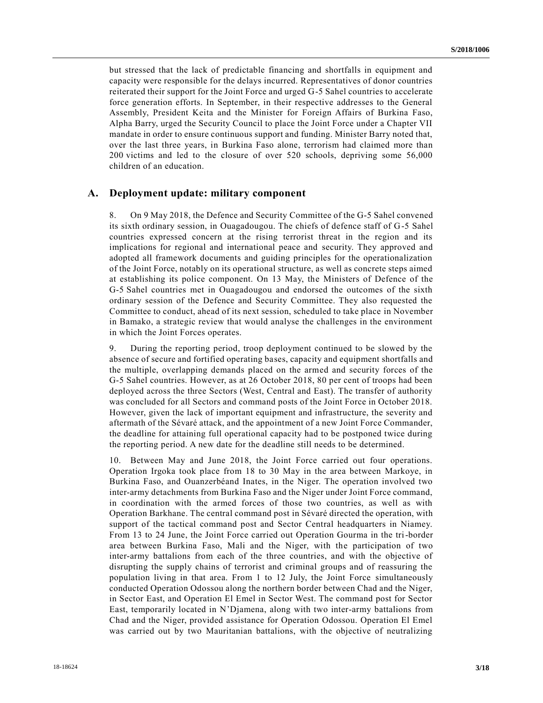but stressed that the lack of predictable financing and shortfalls in equipment and capacity were responsible for the delays incurred. Representatives of donor countries reiterated their support for the Joint Force and urged G-5 Sahel countries to accelerate force generation efforts. In September, in their respective addresses to the General Assembly, President Keita and the Minister for Foreign Affairs of Burkina Faso, Alpha Barry, urged the Security Council to place the Joint Force under a Chapter VII mandate in order to ensure continuous support and funding. Minister Barry noted that, over the last three years, in Burkina Faso alone, terrorism had claimed more than 200 victims and led to the closure of over 520 schools, depriving some 56,000 children of an education.

#### **A. Deployment update: military component**

8. On 9 May 2018, the Defence and Security Committee of the G-5 Sahel convened its sixth ordinary session, in Ouagadougou. The chiefs of defence staff of G-5 Sahel countries expressed concern at the rising terrorist threat in the region and its implications for regional and international peace and security. They approved and adopted all framework documents and guiding principles for the operationalization of the Joint Force, notably on its operational structure, as well as concrete steps aimed at establishing its police component. On 13 May, the Ministers of Defence of the G-5 Sahel countries met in Ouagadougou and endorsed the outcomes of the sixth ordinary session of the Defence and Security Committee. They also requested the Committee to conduct, ahead of its next session, scheduled to take place in November in Bamako, a strategic review that would analyse the challenges in the environment in which the Joint Forces operates.

9. During the reporting period, troop deployment continued to be slowed by the absence of secure and fortified operating bases, capacity and equipment shortfalls and the multiple, overlapping demands placed on the armed and security forces of the G-5 Sahel countries. However, as at 26 October 2018, 80 per cent of troops had been deployed across the three Sectors (West, Central and East). The transfer of authority was concluded for all Sectors and command posts of the Joint Force in October 2018. However, given the lack of important equipment and infrastructure, the severity and aftermath of the Sévaré attack, and the appointment of a new Joint Force Commander, the deadline for attaining full operational capacity had to be postponed twice during the reporting period. A new date for the deadline still needs to be determined.

10. Between May and June 2018, the Joint Force carried out four operations. Operation Irgoka took place from 18 to 30 May in the area between Markoye, in Burkina Faso, and Ouanzerbéand Inates, in the Niger. The operation involved two inter-army detachments from Burkina Faso and the Niger under Joint Force command, in coordination with the armed forces of those two countries, as well as with Operation Barkhane. The central command post in Sévaré directed the operation, with support of the tactical command post and Sector Central headquarters in Niamey. From 13 to 24 June, the Joint Force carried out Operation Gourma in the tri-border area between Burkina Faso, Mali and the Niger, with the participation of two inter-army battalions from each of the three countries, and with the objective of disrupting the supply chains of terrorist and criminal groups and of reassuring the population living in that area. From 1 to 12 July, the Joint Force simultaneously conducted Operation Odossou along the northern border between Chad and the Niger, in Sector East, and Operation El Emel in Sector West. The command post for Sector East, temporarily located in N'Djamena, along with two inter-army battalions from Chad and the Niger, provided assistance for Operation Odossou. Operation El Emel was carried out by two Mauritanian battalions, with the objective of neutralizing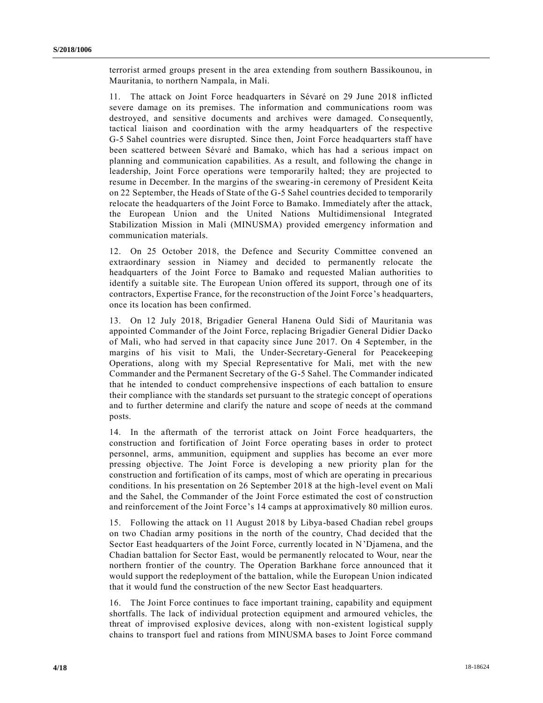terrorist armed groups present in the area extending from southern Bassikounou, in Mauritania, to northern Nampala, in Mali.

11. The attack on Joint Force headquarters in Sévaré on 29 June 2018 inflicted severe damage on its premises. The information and communications room was destroyed, and sensitive documents and archives were damaged. Consequently, tactical liaison and coordination with the army headquarters of the respective G-5 Sahel countries were disrupted. Since then, Joint Force headquarters staff have been scattered between Sévaré and Bamako, which has had a serious impact on planning and communication capabilities. As a result, and following the change in leadership, Joint Force operations were temporarily halted; they are projected to resume in December. In the margins of the swearing-in ceremony of President Keita on 22 September, the Heads of State of the G-5 Sahel countries decided to temporarily relocate the headquarters of the Joint Force to Bamako. Immediately after the attack, the European Union and the United Nations Multidimensional Integrated Stabilization Mission in Mali (MINUSMA) provided emergency information and communication materials.

12. On 25 October 2018, the Defence and Security Committee convened an extraordinary session in Niamey and decided to permanently relocate the headquarters of the Joint Force to Bamako and requested Malian authorities to identify a suitable site. The European Union offered its support, through one of its contractors, Expertise France, for the reconstruction of the Joint Force 's headquarters, once its location has been confirmed.

13. On 12 July 2018, Brigadier General Hanena Ould Sidi of Mauritania was appointed Commander of the Joint Force, replacing Brigadier General Didier Dacko of Mali, who had served in that capacity since June 2017. On 4 September, in the margins of his visit to Mali, the Under-Secretary-General for Peacekeeping Operations, along with my Special Representative for Mali, met with the new Commander and the Permanent Secretary of the G-5 Sahel. The Commander indicated that he intended to conduct comprehensive inspections of each battalion to ensure their compliance with the standards set pursuant to the strategic concept of operations and to further determine and clarify the nature and scope of needs at the command posts.

14. In the aftermath of the terrorist attack on Joint Force headquarters, the construction and fortification of Joint Force operating bases in order to protect personnel, arms, ammunition, equipment and supplies has become an ever more pressing objective. The Joint Force is developing a new priority plan for the construction and fortification of its camps, most of which are operating in precarious conditions. In his presentation on 26 September 2018 at the high-level event on Mali and the Sahel, the Commander of the Joint Force estimated the cost of co nstruction and reinforcement of the Joint Force's 14 camps at approximatively 80 million euros.

15. Following the attack on 11 August 2018 by Libya-based Chadian rebel groups on two Chadian army positions in the north of the country, Chad decided that the Sector East headquarters of the Joint Force, currently located in N'Djamena, and the Chadian battalion for Sector East, would be permanently relocated to Wour, near the northern frontier of the country. The Operation Barkhane force announced that it would support the redeployment of the battalion, while the European Union indicated that it would fund the construction of the new Sector East headquarters.

16. The Joint Force continues to face important training, capability and equipment shortfalls. The lack of individual protection equipment and armoured vehicles, the threat of improvised explosive devices, along with non-existent logistical supply chains to transport fuel and rations from MINUSMA bases to Joint Force command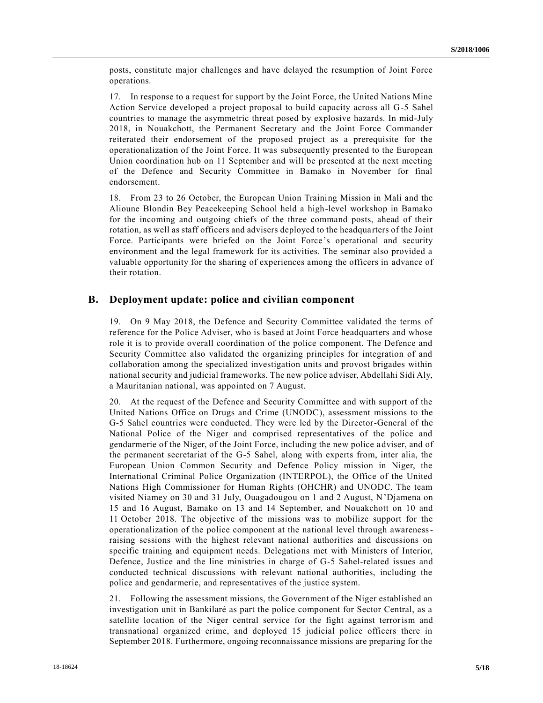posts, constitute major challenges and have delayed the resumption of Joint Force operations.

17. In response to a request for support by the Joint Force, the United Nations Mine Action Service developed a project proposal to build capacity across all G-5 Sahel countries to manage the asymmetric threat posed by explosive hazards. In mid-July 2018, in Nouakchott, the Permanent Secretary and the Joint Force Commander reiterated their endorsement of the proposed project as a prerequisite for the operationalization of the Joint Force. It was subsequently presented to the European Union coordination hub on 11 September and will be presented at the next meeting of the Defence and Security Committee in Bamako in November for final endorsement.

18. From 23 to 26 October, the European Union Training Mission in Mali and the Alioune Blondin Bey Peacekeeping School held a high-level workshop in Bamako for the incoming and outgoing chiefs of the three command posts, ahead of their rotation, as well as staff officers and advisers deployed to the headquarters of the Joint Force. Participants were briefed on the Joint Force's operational and security environment and the legal framework for its activities. The seminar also provided a valuable opportunity for the sharing of experiences among the officers in advance of their rotation.

#### **B. Deployment update: police and civilian component**

19. On 9 May 2018, the Defence and Security Committee validated the terms of reference for the Police Adviser, who is based at Joint Force headquarters and whose role it is to provide overall coordination of the police component. The Defence and Security Committee also validated the organizing principles for integration of and collaboration among the specialized investigation units and provost brigades within national security and judicial frameworks. The new police adviser, Abdellahi Sidi Aly, a Mauritanian national, was appointed on 7 August.

20. At the request of the Defence and Security Committee and with support of the United Nations Office on Drugs and Crime (UNODC), assessment missions to the G-5 Sahel countries were conducted. They were led by the Director-General of the National Police of the Niger and comprised representatives of the police and gendarmerie of the Niger, of the Joint Force, including the new police adviser, and of the permanent secretariat of the G-5 Sahel, along with experts from, inter alia, the European Union Common Security and Defence Policy mission in Niger, the International Criminal Police Organization (INTERPOL), the Office of the United Nations High Commissioner for Human Rights (OHCHR) and UNODC. The team visited Niamey on 30 and 31 July, Ouagadougou on 1 and 2 August, N'Djamena on 15 and 16 August, Bamako on 13 and 14 September, and Nouakchott on 10 and 11 October 2018. The objective of the missions was to mobilize support for the operationalization of the police component at the national level through awarenessraising sessions with the highest relevant national authorities and discussions on specific training and equipment needs. Delegations met with Ministers of Interior, Defence, Justice and the line ministries in charge of G-5 Sahel-related issues and conducted technical discussions with relevant national authorities, including the police and gendarmerie, and representatives of the justice system.

21. Following the assessment missions, the Government of the Niger established an investigation unit in Bankilaré as part the police component for Sector Central, as a satellite location of the Niger central service for the fight against terrorism and transnational organized crime, and deployed 15 judicial police officers there in September 2018. Furthermore, ongoing reconnaissance missions are preparing for the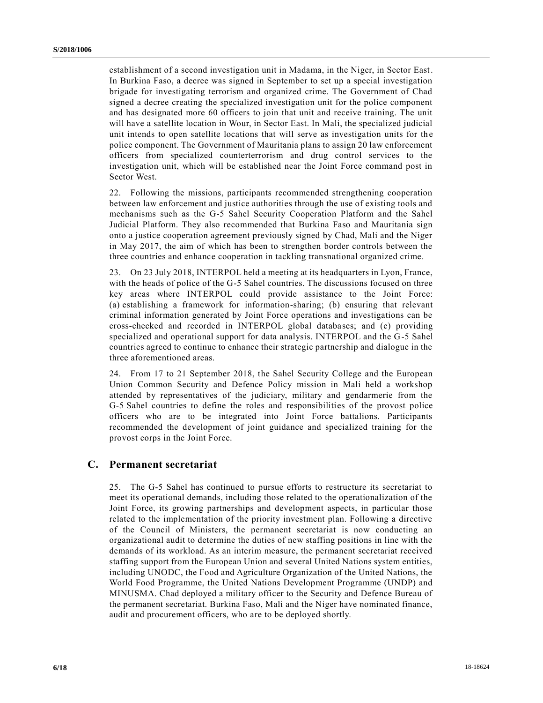establishment of a second investigation unit in Madama, in the Niger, in Sector East. In Burkina Faso, a decree was signed in September to set up a special investigation brigade for investigating terrorism and organized crime. The Government of Chad signed a decree creating the specialized investigation unit for the police component and has designated more 60 officers to join that unit and receive training. The unit will have a satellite location in Wour, in Sector East. In Mali, the specialized judicial unit intends to open satellite locations that will serve as investigation units for the police component. The Government of Mauritania plans to assign 20 law enforcement officers from specialized counterterrorism and drug control services to the investigation unit, which will be established near the Joint Force command post in Sector West.

22. Following the missions, participants recommended strengthening cooperation between law enforcement and justice authorities through the use of existing tools and mechanisms such as the G-5 Sahel Security Cooperation Platform and the Sahel Judicial Platform. They also recommended that Burkina Faso and Mauritania sign onto a justice cooperation agreement previously signed by Chad, Mali and the Niger in May 2017, the aim of which has been to strengthen border controls between the three countries and enhance cooperation in tackling transnational organized crime.

23. On 23 July 2018, INTERPOL held a meeting at its headquarters in Lyon, France, with the heads of police of the G-5 Sahel countries. The discussions focused on three key areas where INTERPOL could provide assistance to the Joint Force: (a) establishing a framework for information-sharing; (b) ensuring that relevant criminal information generated by Joint Force operations and investigations can be cross-checked and recorded in INTERPOL global databases; and (c) providing specialized and operational support for data analysis. INTERPOL and the G-5 Sahel countries agreed to continue to enhance their strategic partnership and dialogue in the three aforementioned areas.

24. From 17 to 21 September 2018, the Sahel Security College and the European Union Common Security and Defence Policy mission in Mali held a workshop attended by representatives of the judiciary, military and gendarmerie from the G-5 Sahel countries to define the roles and responsibilities of the provost police officers who are to be integrated into Joint Force battalions. Participants recommended the development of joint guidance and specialized training for the provost corps in the Joint Force.

### **C. Permanent secretariat**

25. The G-5 Sahel has continued to pursue efforts to restructure its secretariat to meet its operational demands, including those related to the operationalization of the Joint Force, its growing partnerships and development aspects, in particular those related to the implementation of the priority investment plan. Following a directive of the Council of Ministers, the permanent secretariat is now conducting an organizational audit to determine the duties of new staffing positions in line with the demands of its workload. As an interim measure, the permanent secretariat received staffing support from the European Union and several United Nations system entities, including UNODC, the Food and Agriculture Organization of the United Nations, the World Food Programme, the United Nations Development Programme (UNDP) and MINUSMA. Chad deployed a military officer to the Security and Defence Bureau of the permanent secretariat. Burkina Faso, Mali and the Niger have nominated finance, audit and procurement officers, who are to be deployed shortly.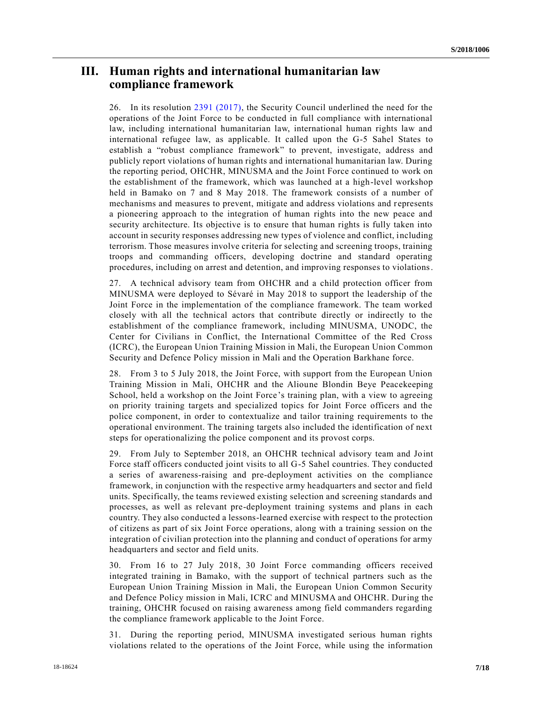## **III. Human rights and international humanitarian law compliance framework**

26. In its resolution [2391 \(2017\),](https://undocs.org/S/RES/2391(2017)) the Security Council underlined the need for the operations of the Joint Force to be conducted in full compliance with international law, including international humanitarian law, international human rights law and international refugee law, as applicable. It called upon the G-5 Sahel States to establish a "robust compliance framework" to prevent, investigate, address and publicly report violations of human rights and international humanitarian law. During the reporting period, OHCHR, MINUSMA and the Joint Force continued to work on the establishment of the framework, which was launched at a high-level workshop held in Bamako on 7 and 8 May 2018. The framework consists of a number of mechanisms and measures to prevent, mitigate and address violations and r epresents a pioneering approach to the integration of human rights into the new peace and security architecture. Its objective is to ensure that human rights is fully taken into account in security responses addressing new types of violence and conflict, including terrorism. Those measures involve criteria for selecting and screening troops, training troops and commanding officers, developing doctrine and standard operating procedures, including on arrest and detention, and improving responses to violations.

27. A technical advisory team from OHCHR and a child protection officer from MINUSMA were deployed to Sévaré in May 2018 to support the leadership of the Joint Force in the implementation of the compliance framework. The team worked closely with all the technical actors that contribute directly or indirectly to the establishment of the compliance framework, including MINUSMA, UNODC, the Center for Civilians in Conflict, the International Committee of the Red Cross (ICRC), the European Union Training Mission in Mali, the European Union Common Security and Defence Policy mission in Mali and the Operation Barkhane force.

28. From 3 to 5 July 2018, the Joint Force, with support from the European Union Training Mission in Mali, OHCHR and the Alioune Blondin Beye Peacekeeping School, held a workshop on the Joint Force's training plan, with a view to agreeing on priority training targets and specialized topics for Joint Force officers and the police component, in order to contextualize and tailor training requirements to the operational environment. The training targets also included the identification of next steps for operationalizing the police component and its provost corps.

29. From July to September 2018, an OHCHR technical advisory team and Joint Force staff officers conducted joint visits to all G-5 Sahel countries. They conducted a series of awareness-raising and pre-deployment activities on the compliance framework, in conjunction with the respective army headquarters and sector and field units. Specifically, the teams reviewed existing selection and screening standards and processes, as well as relevant pre-deployment training systems and plans in each country. They also conducted a lessons-learned exercise with respect to the protection of citizens as part of six Joint Force operations, along with a training session on the integration of civilian protection into the planning and conduct of operations for army headquarters and sector and field units.

30. From 16 to 27 July 2018, 30 Joint Force commanding officers received integrated training in Bamako, with the support of technical partners such as the European Union Training Mission in Mali, the European Union Common Security and Defence Policy mission in Mali, ICRC and MINUSMA and OHCHR. During the training, OHCHR focused on raising awareness among field commanders regarding the compliance framework applicable to the Joint Force.

31. During the reporting period, MINUSMA investigated serious human rights violations related to the operations of the Joint Force, while using the information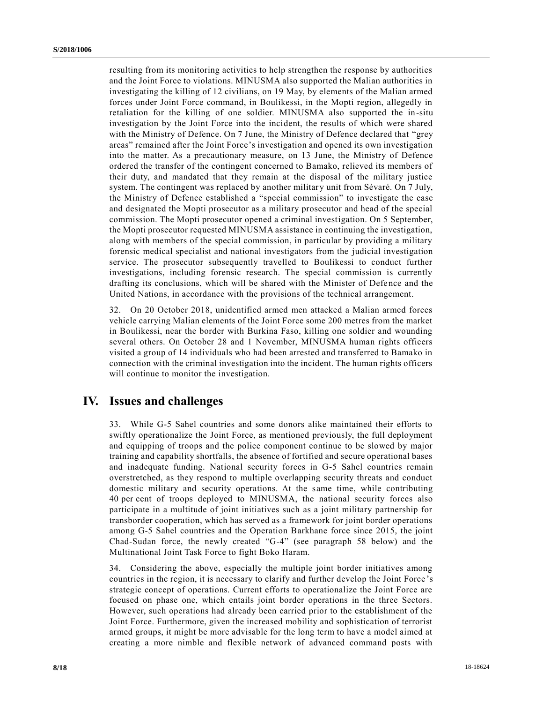resulting from its monitoring activities to help strengthen the response by authorities and the Joint Force to violations. MINUSMA also supported the Malian authorities in investigating the killing of 12 civilians, on 19 May, by elements of the Malian armed forces under Joint Force command, in Boulikessi, in the Mopti region, allegedly in retaliation for the killing of one soldier. MINUSMA also supported the in-situ investigation by the Joint Force into the incident, the results of which were shared with the Ministry of Defence. On 7 June, the Ministry of Defence declared that "grey areas" remained after the Joint Force's investigation and opened its own investigation into the matter. As a precautionary measure, on 13 June, the Ministry of Defence ordered the transfer of the contingent concerned to Bamako, relieved its members of their duty, and mandated that they remain at the disposal of the military justice system. The contingent was replaced by another military unit from Sévaré. On 7 July, the Ministry of Defence established a "special commission" to investigate the case and designated the Mopti prosecutor as a military prosecutor and head of the special commission. The Mopti prosecutor opened a criminal investigation. On 5 September, the Mopti prosecutor requested MINUSMA assistance in continuing the investigation, along with members of the special commission, in particular by providing a military forensic medical specialist and national investigators from the judicial investigation service. The prosecutor subsequently travelled to Boulikessi to conduct further investigations, including forensic research. The special commission is currently drafting its conclusions, which will be shared with the Minister of Defence and the United Nations, in accordance with the provisions of the technical arrangement.

32. On 20 October 2018, unidentified armed men attacked a Malian armed forces vehicle carrying Malian elements of the Joint Force some 200 metres from the market in Boulikessi, near the border with Burkina Faso, killing one soldier and wounding several others. On October 28 and 1 November, MINUSMA human rights officers visited a group of 14 individuals who had been arrested and transferred to Bamako in connection with the criminal investigation into the incident. The human rights officers will continue to monitor the investigation.

## **IV. Issues and challenges**

33. While G-5 Sahel countries and some donors alike maintained their efforts to swiftly operationalize the Joint Force, as mentioned previously, the full deployment and equipping of troops and the police component continue to be slowed by major training and capability shortfalls, the absence of fortified and secure operational bases and inadequate funding. National security forces in G-5 Sahel countries remain overstretched, as they respond to multiple overlapping security threats and conduct domestic military and security operations. At the same time, while contributing 40 per cent of troops deployed to MINUSMA, the national security forces also participate in a multitude of joint initiatives such as a joint military partnership for transborder cooperation, which has served as a framework for joint border operations among G-5 Sahel countries and the Operation Barkhane force since 2015, the joint Chad-Sudan force, the newly created "G-4" (see paragraph 58 below) and the Multinational Joint Task Force to fight Boko Haram.

34. Considering the above, especially the multiple joint border initiatives among countries in the region, it is necessary to clarify and further develop the Joint Force 's strategic concept of operations. Current efforts to operationalize the Joint Force are focused on phase one, which entails joint border operations in the three Sectors. However, such operations had already been carried prior to the establishment of the Joint Force. Furthermore, given the increased mobility and sophistication of terrorist armed groups, it might be more advisable for the long term to have a model aimed at creating a more nimble and flexible network of advanced command posts with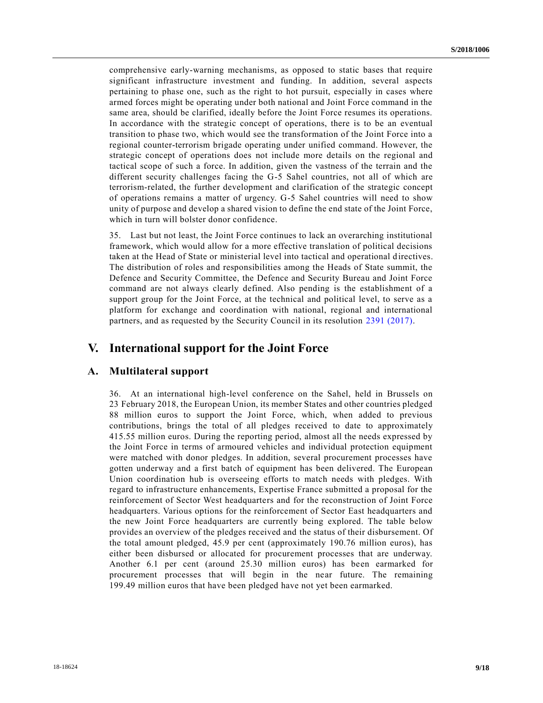comprehensive early-warning mechanisms, as opposed to static bases that require significant infrastructure investment and funding. In addition, several aspects pertaining to phase one, such as the right to hot pursuit, especially in cases where armed forces might be operating under both national and Joint Force command in the same area, should be clarified, ideally before the Joint Force resumes its operations. In accordance with the strategic concept of operations, there is to be an eventual transition to phase two, which would see the transformation of the Joint Force into a regional counter-terrorism brigade operating under unified command. However, the strategic concept of operations does not include more details on the regional and tactical scope of such a force. In addition, given the vastness of the terrain and the different security challenges facing the G-5 Sahel countries, not all of which are terrorism-related, the further development and clarification of the strategic concept of operations remains a matter of urgency. G-5 Sahel countries will need to show unity of purpose and develop a shared vision to define the end state of the Joint Force, which in turn will bolster donor confidence.

35. Last but not least, the Joint Force continues to lack an overarching institutional framework, which would allow for a more effective translation of political decisions taken at the Head of State or ministerial level into tactical and operational directives. The distribution of roles and responsibilities among the Heads of State summit, the Defence and Security Committee, the Defence and Security Bureau and Joint Force command are not always clearly defined. Also pending is the establishment of a support group for the Joint Force, at the technical and political level, to serve as a platform for exchange and coordination with national, regional and international partners, and as requested by the Security Council in its resolution [2391 \(2017\).](https://undocs.org/S/RES/2391(2017))

## **V. International support for the Joint Force**

### **A. Multilateral support**

36. At an international high-level conference on the Sahel, held in Brussels on 23 February 2018, the European Union, its member States and other countries pledged 88 million euros to support the Joint Force, which, when added to previous contributions, brings the total of all pledges received to date to approximately 415.55 million euros. During the reporting period, almost all the needs expressed by the Joint Force in terms of armoured vehicles and individual protection equipment were matched with donor pledges. In addition, several procurement processes have gotten underway and a first batch of equipment has been delivered. The European Union coordination hub is overseeing efforts to match needs with pledges. With regard to infrastructure enhancements, Expertise France submitted a proposal for the reinforcement of Sector West headquarters and for the reconstruction of Joint Force headquarters. Various options for the reinforcement of Sector East headquarters and the new Joint Force headquarters are currently being explored. The table below provides an overview of the pledges received and the status of their disbursement. Of the total amount pledged, 45.9 per cent (approximately 190.76 million euros), has either been disbursed or allocated for procurement processes that are underway. Another 6.1 per cent (around 25.30 million euros) has been earmarked for procurement processes that will begin in the near future. The remaining 199.49 million euros that have been pledged have not yet been earmarked.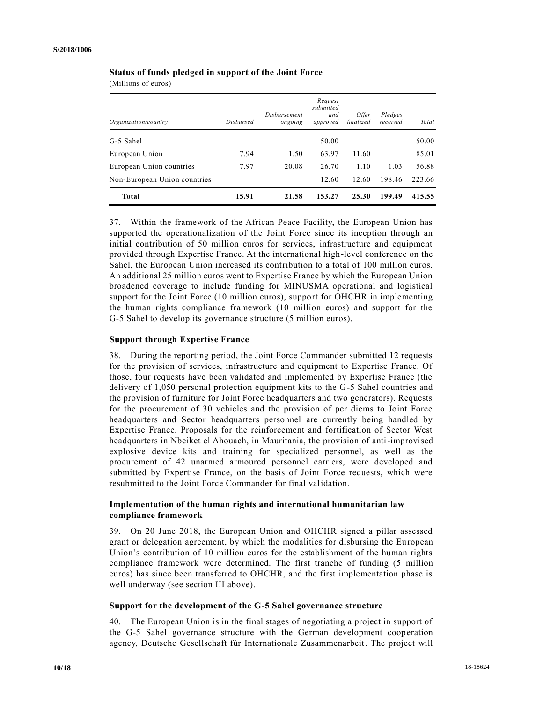|  |  |  | <b>Status of funds pledged in support of the Joint Force</b> |
|--|--|--|--------------------------------------------------------------|
|--|--|--|--------------------------------------------------------------|

(Millions of euros)

| Organization/country         | <b>Dishursed</b> | Disbursement<br>ongoing | Request<br>submitted<br>and<br>approved | <i>Offer</i><br>finalized | Pledges<br>received | Total  |
|------------------------------|------------------|-------------------------|-----------------------------------------|---------------------------|---------------------|--------|
| G-5 Sahel                    |                  |                         | 50.00                                   |                           |                     | 50.00  |
| European Union               | 7.94             | 1.50                    | 63.97                                   | 11.60                     |                     | 85.01  |
| European Union countries     | 7.97             | 20.08                   | 26.70                                   | 1.10                      | 1.03                | 56.88  |
| Non-European Union countries |                  |                         | 12.60                                   | 12.60                     | 198.46              | 223.66 |
| <b>Total</b>                 | 15.91            | 21.58                   | 153.27                                  | 25.30                     | 199.49              | 415.55 |

37. Within the framework of the African Peace Facility, the European Union has supported the operationalization of the Joint Force since its inception through an initial contribution of 50 million euros for services, infrastructure and equipment provided through Expertise France. At the international high-level conference on the Sahel, the European Union increased its contribution to a total of 100 million euros. An additional 25 million euros went to Expertise France by which the European Union broadened coverage to include funding for MINUSMA operational and logistical support for the Joint Force (10 million euros), support for OHCHR in implementing the human rights compliance framework (10 million euros) and support for the G-5 Sahel to develop its governance structure (5 million euros).

#### **Support through Expertise France**

38. During the reporting period, the Joint Force Commander submitted 12 requests for the provision of services, infrastructure and equipment to Expertise France. Of those, four requests have been validated and implemented by Expertise France (the delivery of 1,050 personal protection equipment kits to the G-5 Sahel countries and the provision of furniture for Joint Force headquarters and two generators). Requests for the procurement of 30 vehicles and the provision of per diems to Joint Force headquarters and Sector headquarters personnel are currently being handled by Expertise France. Proposals for the reinforcement and fortification of Sector West headquarters in Nbeiket el Ahouach, in Mauritania, the provision of anti-improvised explosive device kits and training for specialized personnel, as well as the procurement of 42 unarmed armoured personnel carriers, were developed and submitted by Expertise France, on the basis of Joint Force requests, which were resubmitted to the Joint Force Commander for final validation.

#### **Implementation of the human rights and international humanitarian law compliance framework**

39. On 20 June 2018, the European Union and OHCHR signed a pillar assessed grant or delegation agreement, by which the modalities for disbursing the European Union's contribution of 10 million euros for the establishment of the human rights compliance framework were determined. The first tranche of funding (5 million euros) has since been transferred to OHCHR, and the first implementation phase is well underway (see section III above).

#### **Support for the development of the G-5 Sahel governance structure**

40. The European Union is in the final stages of negotiating a project in support of the G-5 Sahel governance structure with the German development cooperation agency, Deutsche Gesellschaft fûr Internationale Zusammenarbeit. The project will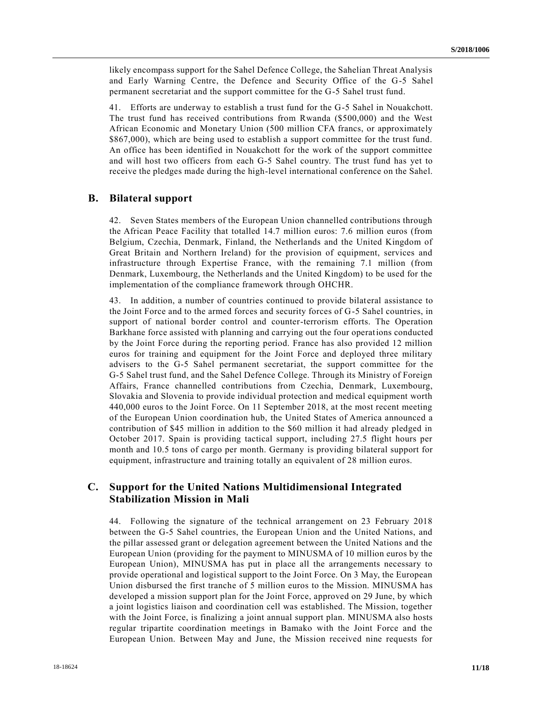likely encompass support for the Sahel Defence College, the Sahelian Threat Analysis and Early Warning Centre, the Defence and Security Office of the G-5 Sahel permanent secretariat and the support committee for the G-5 Sahel trust fund.

41. Efforts are underway to establish a trust fund for the G-5 Sahel in Nouakchott. The trust fund has received contributions from Rwanda (\$500,000) and the West African Economic and Monetary Union (500 million CFA francs, or approximately \$867,000), which are being used to establish a support committee for the trust fund. An office has been identified in Nouakchott for the work of the support committee and will host two officers from each G-5 Sahel country. The trust fund has yet to receive the pledges made during the high-level international conference on the Sahel.

#### **B. Bilateral support**

42. Seven States members of the European Union channelled contributions through the African Peace Facility that totalled 14.7 million euros: 7.6 million euros (from Belgium, Czechia, Denmark, Finland, the Netherlands and the United Kingdom of Great Britain and Northern Ireland) for the provision of equipment, services and infrastructure through Expertise France, with the remaining 7.1 million (from Denmark, Luxembourg, the Netherlands and the United Kingdom) to be used for the implementation of the compliance framework through OHCHR.

43. In addition, a number of countries continued to provide bilateral assistance to the Joint Force and to the armed forces and security forces of G-5 Sahel countries, in support of national border control and counter-terrorism efforts. The Operation Barkhane force assisted with planning and carrying out the four operations conducted by the Joint Force during the reporting period. France has also provided 12 million euros for training and equipment for the Joint Force and deployed three military advisers to the G-5 Sahel permanent secretariat, the support committee for the G-5 Sahel trust fund, and the Sahel Defence College. Through its Ministry of Foreign Affairs, France channelled contributions from Czechia, Denmark, Luxembourg, Slovakia and Slovenia to provide individual protection and medical equipment worth 440,000 euros to the Joint Force. On 11 September 2018, at the most recent meeting of the European Union coordination hub, the United States of America announced a contribution of \$45 million in addition to the \$60 million it had already pledged in October 2017. Spain is providing tactical support, including 27.5 flight hours per month and 10.5 tons of cargo per month. Germany is providing bilateral support for equipment, infrastructure and training totally an equivalent of 28 million euros.

### **C. Support for the United Nations Multidimensional Integrated Stabilization Mission in Mali**

44. Following the signature of the technical arrangement on 23 February 2018 between the G-5 Sahel countries, the European Union and the United Nations, and the pillar assessed grant or delegation agreement between the United Nations and the European Union (providing for the payment to MINUSMA of 10 million euros by the European Union), MINUSMA has put in place all the arrangements necessary to provide operational and logistical support to the Joint Force. On 3 May, the European Union disbursed the first tranche of 5 million euros to the Mission. MINUSMA has developed a mission support plan for the Joint Force, approved on 29 June, by which a joint logistics liaison and coordination cell was established. The Mission, together with the Joint Force, is finalizing a joint annual support plan. MINUSMA also hosts regular tripartite coordination meetings in Bamako with the Joint Force and the European Union. Between May and June, the Mission received nine requests for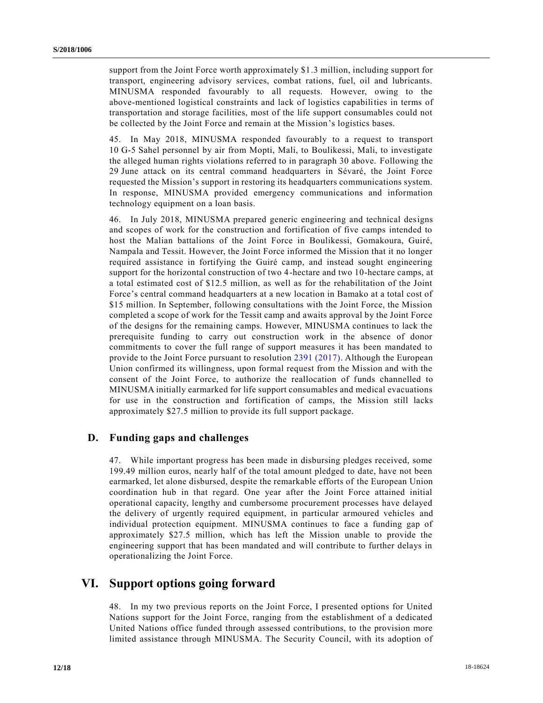support from the Joint Force worth approximately \$1.3 million, including support for transport, engineering advisory services, combat rations, fuel, oil and lubricants. MINUSMA responded favourably to all requests. However, owing to the above-mentioned logistical constraints and lack of logistics capabilities in terms of transportation and storage facilities, most of the life support consumables could not be collected by the Joint Force and remain at the Mission's logistics bases.

45. In May 2018, MINUSMA responded favourably to a request to transport 10 G-5 Sahel personnel by air from Mopti, Mali, to Boulikessi, Mali, to investigate the alleged human rights violations referred to in paragraph 30 above. Following the 29 June attack on its central command headquarters in Sévaré, the Joint Force requested the Mission's support in restoring its headquarters communications system. In response, MINUSMA provided emergency communications and information technology equipment on a loan basis.

46. In July 2018, MINUSMA prepared generic engineering and technical designs and scopes of work for the construction and fortification of five camps intended to host the Malian battalions of the Joint Force in Boulikessi, Gomakoura, Guiré, Nampala and Tessit. However, the Joint Force informed the Mission that it no longer required assistance in fortifying the Guiré camp, and instead sought engineering support for the horizontal construction of two 4-hectare and two 10-hectare camps, at a total estimated cost of \$12.5 million, as well as for the rehabilitation of the Joint Force's central command headquarters at a new location in Bamako at a total cost of \$15 million. In September, following consultations with the Joint Force, the Mission completed a scope of work for the Tessit camp and awaits approval by the Joint Force of the designs for the remaining camps. However, MINUSMA continues to lack the prerequisite funding to carry out construction work in the absence of donor commitments to cover the full range of support measures it has been mandated to provide to the Joint Force pursuant to resolution [2391 \(2017\).](https://undocs.org/S/RES/2391(2017)) Although the European Union confirmed its willingness, upon formal request from the Mission and with the consent of the Joint Force, to authorize the reallocation of funds channelled to MINUSMA initially earmarked for life support consumables and medical evacuations for use in the construction and fortification of camps, the Mission still lacks approximately \$27.5 million to provide its full support package.

### **D. Funding gaps and challenges**

47. While important progress has been made in disbursing pledges received, some 199.49 million euros, nearly half of the total amount pledged to date, have not been earmarked, let alone disbursed, despite the remarkable efforts of the European Union coordination hub in that regard. One year after the Joint Force attained initial operational capacity, lengthy and cumbersome procurement processes have delayed the delivery of urgently required equipment, in particular armoured vehicles and individual protection equipment. MINUSMA continues to face a funding gap of approximately \$27.5 million, which has left the Mission unable to provide the engineering support that has been mandated and will contribute to further delays in operationalizing the Joint Force.

## **VI. Support options going forward**

48. In my two previous reports on the Joint Force, I presented options for United Nations support for the Joint Force, ranging from the establishment of a dedicated United Nations office funded through assessed contributions, to the provision more limited assistance through MINUSMA. The Security Council, with its adoption of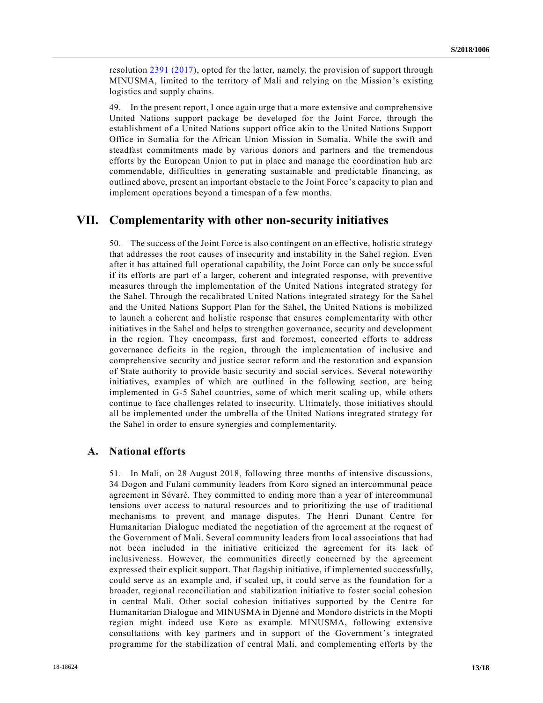resolution [2391 \(2017\),](https://undocs.org/S/RES/2391(2017)) opted for the latter, namely, the provision of support through MINUSMA, limited to the territory of Mali and relying on the Mission's existing logistics and supply chains.

49. In the present report, I once again urge that a more extensive and comprehensive United Nations support package be developed for the Joint Force, through the establishment of a United Nations support office akin to the United Nations Support Office in Somalia for the African Union Mission in Somalia. While the swift and steadfast commitments made by various donors and partners and the tremendous efforts by the European Union to put in place and manage the coordination hub are commendable, difficulties in generating sustainable and predictable financing, as outlined above, present an important obstacle to the Joint Force's capacity to plan and implement operations beyond a timespan of a few months.

### **VII. Complementarity with other non-security initiatives**

50. The success of the Joint Force is also contingent on an effective, holistic strategy that addresses the root causes of insecurity and instability in the Sahel region. Even after it has attained full operational capability, the Joint Force can only be succe ssful if its efforts are part of a larger, coherent and integrated response, with preventive measures through the implementation of the United Nations integrated strategy for the Sahel. Through the recalibrated United Nations integrated strategy for the Sa hel and the United Nations Support Plan for the Sahel, the United Nations is mobilized to launch a coherent and holistic response that ensures complementarity with other initiatives in the Sahel and helps to strengthen governance, security and development in the region. They encompass, first and foremost, concerted efforts to address governance deficits in the region, through the implementation of inclusive and comprehensive security and justice sector reform and the restoration and expansion of State authority to provide basic security and social services. Several noteworthy initiatives, examples of which are outlined in the following section, are being implemented in G-5 Sahel countries, some of which merit scaling up, while others continue to face challenges related to insecurity. Ultimately, those initiatives should all be implemented under the umbrella of the United Nations integrated strategy for the Sahel in order to ensure synergies and complementarity.

### **A. National efforts**

51. In Mali, on 28 August 2018, following three months of intensive discussions, 34 Dogon and Fulani community leaders from Koro signed an intercommunal peace agreement in Sévaré. They committed to ending more than a year of intercommunal tensions over access to natural resources and to prioritizing the use of traditional mechanisms to prevent and manage disputes. The Henri Dunant Centre for Humanitarian Dialogue mediated the negotiation of the agreement at the request of the Government of Mali. Several community leaders from local associations that had not been included in the initiative criticized the agreement for its lack of inclusiveness. However, the communities directly concerned by the agreement expressed their explicit support. That flagship initiative, if implemented successfully, could serve as an example and, if scaled up, it could serve as the foundation for a broader, regional reconciliation and stabilization initiative to foster social cohesion in central Mali. Other social cohesion initiatives supported by the Centre for Humanitarian Dialogue and MINUSMA in Djenné and Mondoro districts in the Mopti region might indeed use Koro as example. MINUSMA, following extensive consultations with key partners and in support of the Government's integrated programme for the stabilization of central Mali, and complementing efforts by the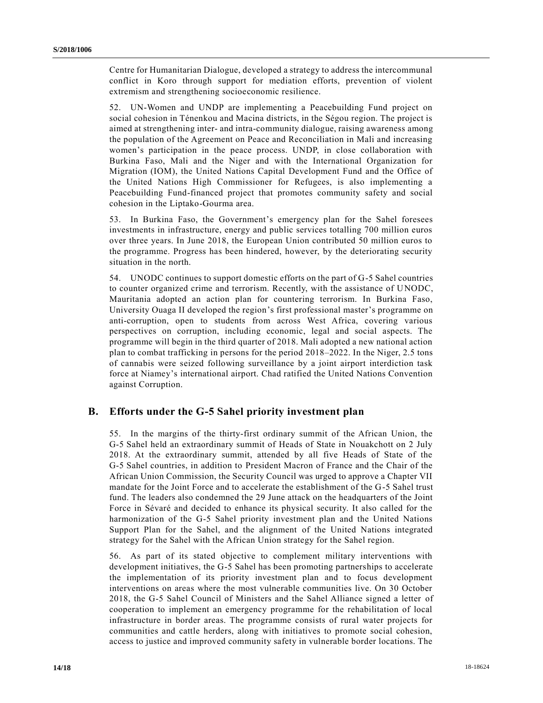Centre for Humanitarian Dialogue, developed a strategy to address the intercommunal conflict in Koro through support for mediation efforts, prevention of violent extremism and strengthening socioeconomic resilience.

52. UN-Women and UNDP are implementing a Peacebuilding Fund project on social cohesion in Ténenkou and Macina districts, in the Ségou region. The project is aimed at strengthening inter- and intra-community dialogue, raising awareness among the population of the Agreement on Peace and Reconciliation in Mali and increasing women's participation in the peace process. UNDP, in close collaboration with Burkina Faso, Mali and the Niger and with the International Organization for Migration (IOM), the United Nations Capital Development Fund and the Office of the United Nations High Commissioner for Refugees, is also implementing a Peacebuilding Fund-financed project that promotes community safety and social cohesion in the Liptako-Gourma area.

53. In Burkina Faso, the Government's emergency plan for the Sahel foresees investments in infrastructure, energy and public services totalling 700 million euros over three years. In June 2018, the European Union contributed 50 million euros to the programme. Progress has been hindered, however, by the deteriorating security situation in the north.

54. UNODC continues to support domestic efforts on the part of G-5 Sahel countries to counter organized crime and terrorism. Recently, with the assistance of UNODC, Mauritania adopted an action plan for countering terrorism. In Burkina Faso, University Ouaga II developed the region's first professional master's programme on anti-corruption, open to students from across West Africa, covering various perspectives on corruption, including economic, legal and social aspects. The programme will begin in the third quarter of 2018. Mali adopted a new national action plan to combat trafficking in persons for the period 2018–2022. In the Niger, 2.5 tons of cannabis were seized following surveillance by a joint airport interdiction task force at Niamey's international airport. Chad ratified the United Nations Convention against Corruption.

#### **B. Efforts under the G-5 Sahel priority investment plan**

55. In the margins of the thirty-first ordinary summit of the African Union, the G-5 Sahel held an extraordinary summit of Heads of State in Nouakchott on 2 July 2018. At the extraordinary summit, attended by all five Heads of State of the G-5 Sahel countries, in addition to President Macron of France and the Chair of the African Union Commission, the Security Council was urged to approve a Chapter VII mandate for the Joint Force and to accelerate the establishment of the G-5 Sahel trust fund. The leaders also condemned the 29 June attack on the headquarters of the Joint Force in Sévaré and decided to enhance its physical security. It also called for the harmonization of the G-5 Sahel priority investment plan and the United Nations Support Plan for the Sahel, and the alignment of the United Nations integrated strategy for the Sahel with the African Union strategy for the Sahel region.

56. As part of its stated objective to complement military interventions with development initiatives, the G-5 Sahel has been promoting partnerships to accelerate the implementation of its priority investment plan and to focus development interventions on areas where the most vulnerable communities live. On 30 October 2018, the G-5 Sahel Council of Ministers and the Sahel Alliance signed a letter of cooperation to implement an emergency programme for the rehabilitation of local infrastructure in border areas. The programme consists of rural water projects for communities and cattle herders, along with initiatives to promote social cohesion, access to justice and improved community safety in vulnerable border locations. The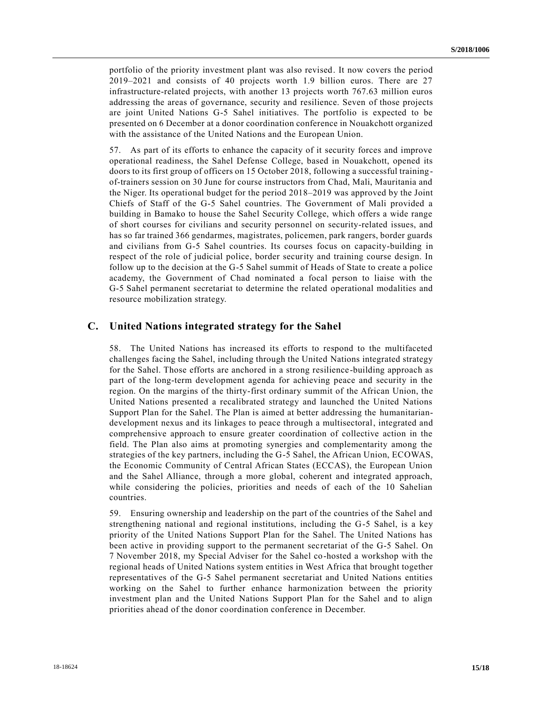portfolio of the priority investment plant was also revised. It now covers the period 2019–2021 and consists of 40 projects worth 1.9 billion euros. There are 27 infrastructure-related projects, with another 13 projects worth 767.63 million euros addressing the areas of governance, security and resilience. Seven of those projects are joint United Nations G-5 Sahel initiatives. The portfolio is expected to be presented on 6 December at a donor coordination conference in Nouakchott organized with the assistance of the United Nations and the European Union.

57. As part of its efforts to enhance the capacity of it security forces and improve operational readiness, the Sahel Defense College, based in Nouakchott, opened its doors to its first group of officers on 15 October 2018, following a successful trainingof-trainers session on 30 June for course instructors from Chad, Mali, Mauritania and the Niger. Its operational budget for the period 2018–2019 was approved by the Joint Chiefs of Staff of the G-5 Sahel countries. The Government of Mali provided a building in Bamako to house the Sahel Security College, which offers a wide range of short courses for civilians and security personnel on security-related issues, and has so far trained 366 gendarmes, magistrates, policemen, park rangers, border guards and civilians from G-5 Sahel countries. Its courses focus on capacity-building in respect of the role of judicial police, border security and training course design. In follow up to the decision at the G-5 Sahel summit of Heads of State to create a police academy, the Government of Chad nominated a focal person to liaise with the G-5 Sahel permanent secretariat to determine the related operational modalities and resource mobilization strategy.

### **C. United Nations integrated strategy for the Sahel**

58. The United Nations has increased its efforts to respond to the multifaceted challenges facing the Sahel, including through the United Nations integrated strategy for the Sahel. Those efforts are anchored in a strong resilience -building approach as part of the long-term development agenda for achieving peace and security in the region. On the margins of the thirty-first ordinary summit of the African Union, the United Nations presented a recalibrated strategy and launched the United Nations Support Plan for the Sahel. The Plan is aimed at better addressing the humanitariandevelopment nexus and its linkages to peace through a multisectoral, integrated and comprehensive approach to ensure greater coordination of collective action in the field. The Plan also aims at promoting synergies and complementarity among the strategies of the key partners, including the G-5 Sahel, the African Union, ECOWAS, the Economic Community of Central African States (ECCAS), the European Union and the Sahel Alliance, through a more global, coherent and integrated approach, while considering the policies, priorities and needs of each of the 10 Sahelian countries.

59. Ensuring ownership and leadership on the part of the countries of the Sahel and strengthening national and regional institutions, including the G-5 Sahel, is a key priority of the United Nations Support Plan for the Sahel. The United Nations has been active in providing support to the permanent secretariat of the G-5 Sahel. On 7 November 2018, my Special Adviser for the Sahel co-hosted a workshop with the regional heads of United Nations system entities in West Africa that brought together representatives of the G-5 Sahel permanent secretariat and United Nations entities working on the Sahel to further enhance harmonization between the priority investment plan and the United Nations Support Plan for the Sahel and to align priorities ahead of the donor coordination conference in December.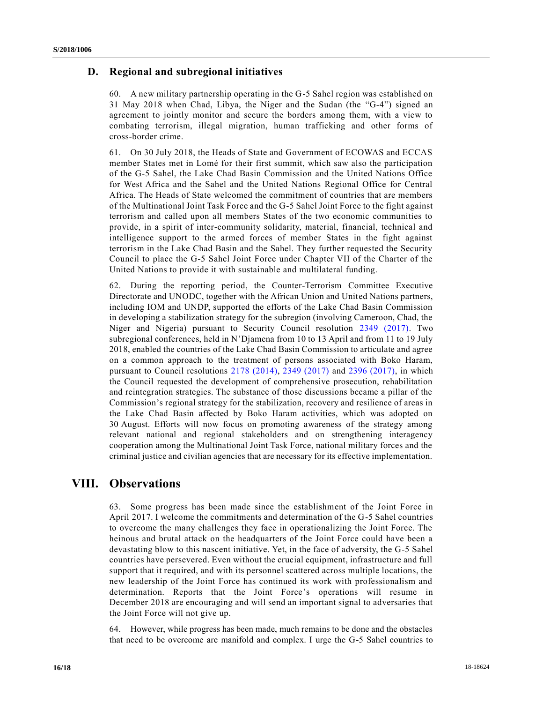### **D. Regional and subregional initiatives**

60. A new military partnership operating in the G-5 Sahel region was established on 31 May 2018 when Chad, Libya, the Niger and the Sudan (the "G-4") signed an agreement to jointly monitor and secure the borders among them, with a view to combating terrorism, illegal migration, human trafficking and other forms of cross-border crime.

61. On 30 July 2018, the Heads of State and Government of ECOWAS and ECCAS member States met in Lomé for their first summit, which saw also the participation of the G-5 Sahel, the Lake Chad Basin Commission and the United Nations Office for West Africa and the Sahel and the United Nations Regional Office for Central Africa. The Heads of State welcomed the commitment of countries that are members of the Multinational Joint Task Force and the G-5 Sahel Joint Force to the fight against terrorism and called upon all members States of the two economic communities to provide, in a spirit of inter-community solidarity, material, financial, technical and intelligence support to the armed forces of member States in the fight against terrorism in the Lake Chad Basin and the Sahel. They further requested the Security Council to place the G-5 Sahel Joint Force under Chapter VII of the Charter of the United Nations to provide it with sustainable and multilateral funding.

62. During the reporting period, the Counter-Terrorism Committee Executive Directorate and UNODC, together with the African Union and United Nations partners, including IOM and UNDP, supported the efforts of the Lake Chad Basin Commission in developing a stabilization strategy for the subregion (involving Cameroon, Chad, the Niger and Nigeria) pursuant to Security Council resolution [2349 \(2017\).](https://undocs.org/S/RES/2349(2017)) Two subregional conferences, held in N'Djamena from 10 to 13 April and from 11 to 19 July 2018, enabled the countries of the Lake Chad Basin Commission to articulate and agree on a common approach to the treatment of persons associated with Boko Haram, pursuant to Council resolutions [2178 \(2014\),](https://undocs.org/S/RES/2178(2014)) [2349 \(2017\)](https://undocs.org/S/RES/2349(2017)) and [2396 \(2017\),](https://undocs.org/S/RES/2396(2017)) in which the Council requested the development of comprehensive prosecution, rehabilitation and reintegration strategies. The substance of those discussions became a pillar of the Commission's regional strategy for the stabilization, recovery and resilience of areas in the Lake Chad Basin affected by Boko Haram activities, which was adopted on 30 August. Efforts will now focus on promoting awareness of the strategy among relevant national and regional stakeholders and on strengthening interagency cooperation among the Multinational Joint Task Force, national military forces and the criminal justice and civilian agencies that are necessary for its effective implementation.

## **VIII. Observations**

63. Some progress has been made since the establishment of the Joint Force in April 2017. I welcome the commitments and determination of the G-5 Sahel countries to overcome the many challenges they face in operationalizing the Joint Force. The heinous and brutal attack on the headquarters of the Joint Force could have been a devastating blow to this nascent initiative. Yet, in the face of adversity, the G-5 Sahel countries have persevered. Even without the crucial equipment, infrastructure and full support that it required, and with its personnel scattered across multiple locations, the new leadership of the Joint Force has continued its work with professionalism and determination. Reports that the Joint Force's operations will resume in December 2018 are encouraging and will send an important signal to adversaries that the Joint Force will not give up.

64. However, while progress has been made, much remains to be done and the obstacles that need to be overcome are manifold and complex. I urge the G-5 Sahel countries to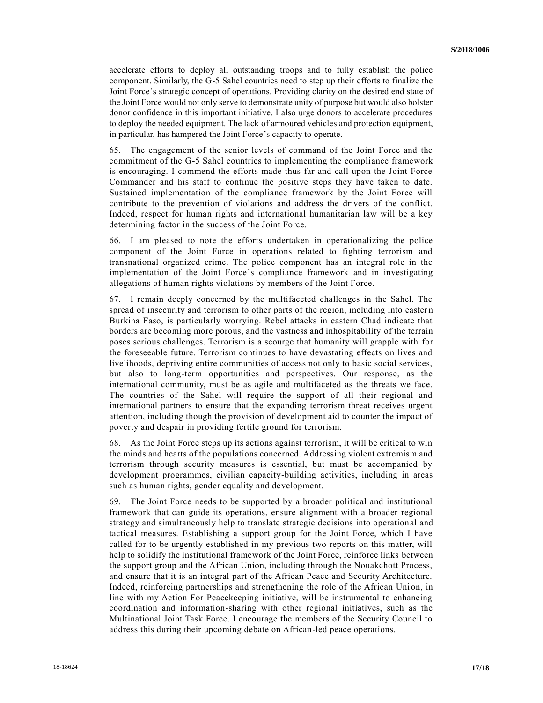accelerate efforts to deploy all outstanding troops and to fully establish the police component. Similarly, the G-5 Sahel countries need to step up their efforts to finalize the Joint Force's strategic concept of operations. Providing clarity on the desired end state of the Joint Force would not only serve to demonstrate unity of purpose but would also bolster donor confidence in this important initiative. I also urge donors to accelerate procedures to deploy the needed equipment. The lack of armoured vehicles and protection equipment, in particular, has hampered the Joint Force's capacity to operate.

65. The engagement of the senior levels of command of the Joint Force and the commitment of the G-5 Sahel countries to implementing the compliance framework is encouraging. I commend the efforts made thus far and call upon the Joint Force Commander and his staff to continue the positive steps they have taken to date. Sustained implementation of the compliance framework by the Joint Force will contribute to the prevention of violations and address the drivers of the conflict. Indeed, respect for human rights and international humanitarian law will be a key determining factor in the success of the Joint Force.

66. I am pleased to note the efforts undertaken in operationalizing the police component of the Joint Force in operations related to fighting terrorism and transnational organized crime. The police component has an integral role in the implementation of the Joint Force's compliance framework and in investigating allegations of human rights violations by members of the Joint Force.

67. I remain deeply concerned by the multifaceted challenges in the Sahel. The spread of insecurity and terrorism to other parts of the region, including into easter n Burkina Faso, is particularly worrying. Rebel attacks in eastern Chad indicate that borders are becoming more porous, and the vastness and inhospitability of the terrain poses serious challenges. Terrorism is a scourge that humanity will grapple with for the foreseeable future. Terrorism continues to have devastating effects on lives and livelihoods, depriving entire communities of access not only to basic social services, but also to long-term opportunities and perspectives. Our response, as the international community, must be as agile and multifaceted as the threats we face. The countries of the Sahel will require the support of all their regional and international partners to ensure that the expanding terrorism threat receives urgent attention, including though the provision of development aid to counter the impact of poverty and despair in providing fertile ground for terrorism.

68. As the Joint Force steps up its actions against terrorism, it will be critical to win the minds and hearts of the populations concerned. Addressing violent extremism and terrorism through security measures is essential, but must be accompanied by development programmes, civilian capacity-building activities, including in areas such as human rights, gender equality and development.

69. The Joint Force needs to be supported by a broader political and institutional framework that can guide its operations, ensure alignment with a broader regional strategy and simultaneously help to translate strategic decisions into operational and tactical measures. Establishing a support group for the Joint Force, which I have called for to be urgently established in my previous two reports on this matter, will help to solidify the institutional framework of the Joint Force, reinforce links between the support group and the African Union, including through the Nouakchott Process, and ensure that it is an integral part of the African Peace and Security Architecture. Indeed, reinforcing partnerships and strengthening the role of the African Uni on, in line with my Action For Peacekeeping initiative, will be instrumental to enhancing coordination and information-sharing with other regional initiatives, such as the Multinational Joint Task Force. I encourage the members of the Security Council to address this during their upcoming debate on African-led peace operations.